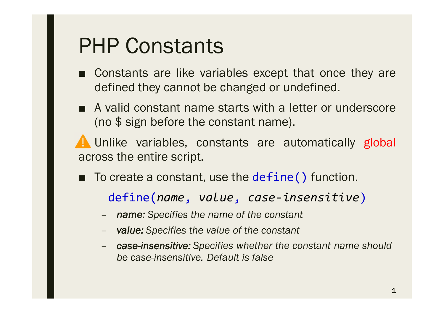- Constants are like variables except that once they are defined they cannot be changed or undefined.
- A valid constant name starts with a letter or underscore (no \$ sign before the constant name).

Unlike variables, constants are automatically global across the entire script.

■ To create a constant, use the define() function.

define(*name*, *value*, *case-insensitive*)

- *name: Specifies the name of the constant*
- *value: Specifies the value of the constant*
- *case-insensitive: Specifies whether the constant name should be case-insensitive. Default is false*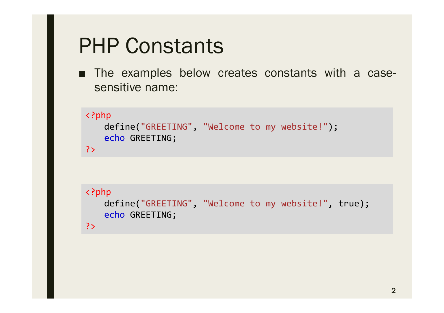■ The examples below creates constants with a casesensitive name:

```
<?php
   define("GREETING", "Welcome to my website!");
   echo GREETING;
?>
```

```
<?php
   define("GREETING", "Welcome to my website!", true);
   echo GREETING;
?>
```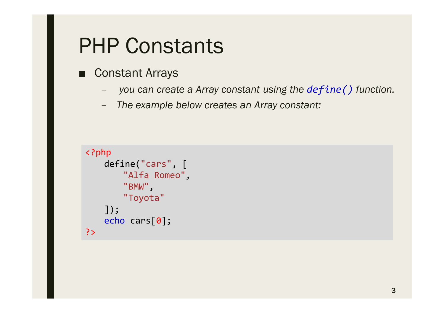- Constant Arrays
	- *you can create a Array constant using the define() function.*
	- *The example below creates an Array constant:*

```
<?php
   define("cars", [
       "Alfa Romeo",
       "BMW",
       "Toyota"
   ]);
   echo cars[0];
?>
```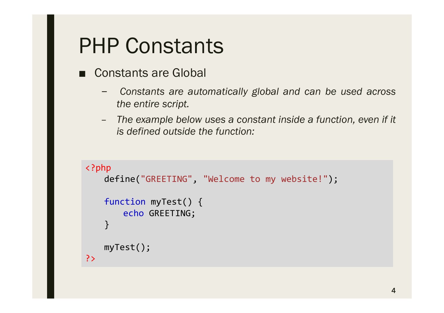- Constants are Global
	- *Constants are automatically global and can be used across the entire script.*
	- *The example below uses a constant inside a function, even if it is defined outside the function:*

```
<?php
   define("GREETING", "Welcome to my website!");
   function myTest() {
       echo GREETING;
   }
   myTest();
?>
```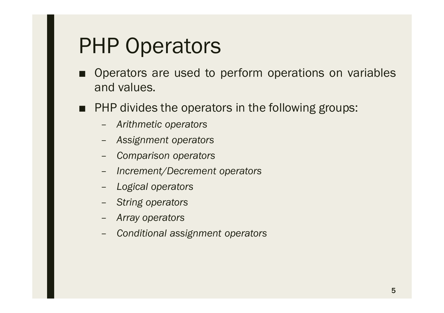- Operators are used to perform operations on variables and values.
- PHP divides the operators in the following groups:
	- *Arithmetic operators*
	- *Assignment operators*
	- *Comparison operators*
	- *Increment/Decrement operators*
	- *Logical operators*
	- *String operators*
	- *Array operators*
	- *Conditional assignment operators*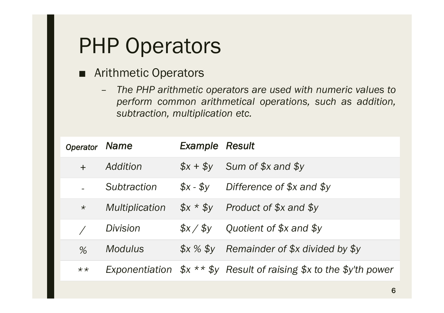#### ■ Arithmetic Operators

– *The PHP arithmetic operators are used with numeric values to perform common arithmetical operations, such as addition, subtraction, multiplication etc.*

| Operator Name  |                | <b>Example Result</b> |                                                                   |
|----------------|----------------|-----------------------|-------------------------------------------------------------------|
| $+$            | Addition       |                       | $$x + $y$ Sum of $$x$ and $$y$                                    |
|                | Subtraction    |                       | $$x - $y$ Difference of $$x$ and $$y$                             |
| $\star$        | Multiplication |                       | $$x * $y$ Product of \$x and \$y                                  |
|                | Division       | \$x / \$v\$           | Quotient of \$x and \$y                                           |
| $\%$           | <b>Modulus</b> |                       | $$x \times $y$ Remainder of $$x$ divided by $$y$                  |
| $\star\,\star$ |                |                       | Exponentiation $$x**$y$ Result of raising \$x to the \$y'th power |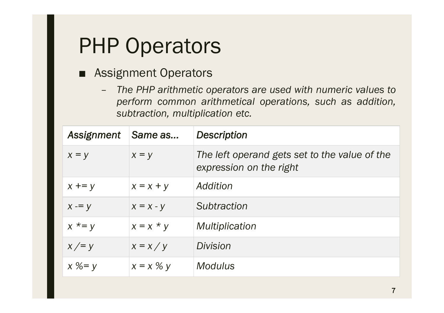#### ■ Assignment Operators

– *The PHP arithmetic operators are used with numeric values to perform common arithmetical operations, such as addition, subtraction, multiplication etc.*

| Assignment | Same as                | <b>Description</b>                                                       |
|------------|------------------------|--------------------------------------------------------------------------|
| $x = y$    | $x = y$                | The left operand gets set to the value of the<br>expression on the right |
| $x += y$   | $x = x + y$            | Addition                                                                 |
| $x = y$    | $x = x - y$            | Subtraction                                                              |
| $x^* = y$  | $x = x * y$            | <i>Multiplication</i>                                                    |
| $x \neq y$ | $x = x / y$            | Division                                                                 |
| $x \% = y$ | $x = x \mathrel{\%} y$ | <b>Modulus</b>                                                           |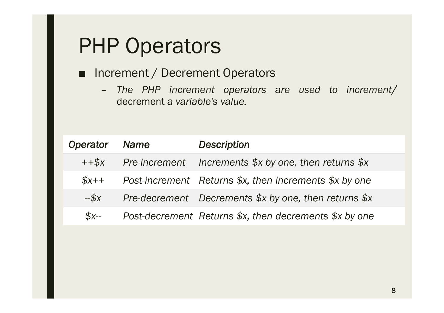#### ■ Increment / Decrement Operators

– *The PHP increment operators are used to increment/* decrement *a variable's value.*

| Operator                | <b>Name</b> | <b>Description</b>                                      |
|-------------------------|-------------|---------------------------------------------------------|
| $+$ + $\frac{4}{3}$ $x$ |             | Pre-increment Increments $$x$ by one, then returns $x$$ |
| $$x++$                  |             | Post-increment Returns \$x, then increments \$x by one  |
| $-5x$                   |             | Pre-decrement Decrements \$x by one, then returns \$x   |
| $S_{X-}$                |             | Post-decrement Returns \$x, then decrements \$x by one  |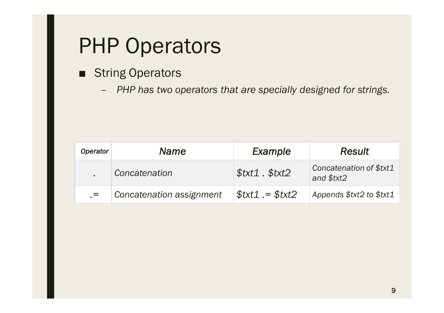- String Operators
	- *PHP has two operators that are specially designed for strings.*

| <b>Operator</b> | Name                     | Example           | <b>Result</b>                         |
|-----------------|--------------------------|-------------------|---------------------------------------|
|                 | Concatenation            | $$txt1$ . $$txt2$ | Concatenation of \$txt1<br>and \$txt2 |
| $=$             | Concatenation assignment | $$txt1 = $txt2$$  | Appends \$txt2 to \$txt1              |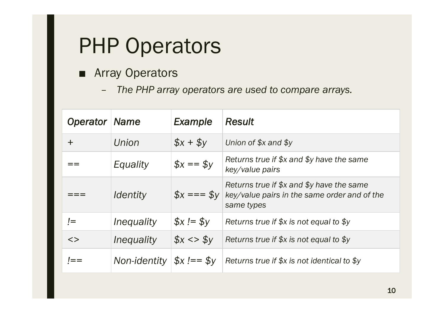- Array Operators
	- *The PHP array operators are used to compare arrays.*

| <b>Operator Name</b> |                               | Example                 | <b>Result</b>                                                                                           |
|----------------------|-------------------------------|-------------------------|---------------------------------------------------------------------------------------------------------|
| $\pm$                | Union                         | $$x + $y$               | Union of $$x$ and $$y$                                                                                  |
|                      | Equality                      | $$x == $y$$             | Returns true if $x$ and $y$ have the same<br>key/value pairs                                            |
|                      | <i><u><b>Identity</b></u></i> | $\oint x == 5y$         | Returns true if $x$ and $y$ have the same<br>key/value pairs in the same order and of the<br>same types |
| $\mathbf{I} =$       | Inequality                    | $$x := $y$$             | Returns true if $x$ is not equal to $y$                                                                 |
| $\langle$            | <i>Inequality</i>             | $$x \le 5y$             | Returns true if $x$ is not equal to $y$                                                                 |
|                      | Non-identity                  | $\oint x$ !== $\oint y$ | Returns true if \$x is not identical to \$y                                                             |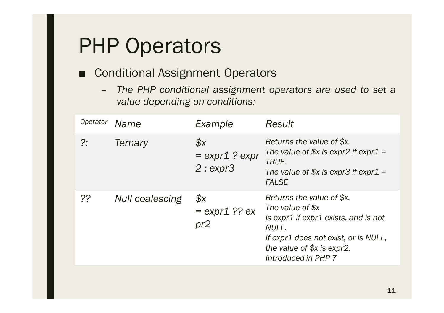#### ■ Conditional Assignment Operators

– *The PHP conditional assignment operators are used to set a value depending on conditions:*

| Operator | Name                   | Example                                                  | <b>Result</b>                                                                                                                                                                               |
|----------|------------------------|----------------------------------------------------------|---------------------------------------------------------------------------------------------------------------------------------------------------------------------------------------------|
| ?:       | Ternary                | $\mathcal{S}$ <i>X</i><br>$=$ expr1 ? expr<br>$2:$ expr3 | Returns the value of \$x.<br>The value of $x$ is expr2 if expr1 =<br>TRUE.<br>The value of $x$ is expr3 if expr1 =<br><b>FALSE</b>                                                          |
| ??       | <b>Null coalescing</b> | \$x<br>$=$ expr1 ?? ex<br>pr2                            | Returns the value of \$x.<br>The value of \$x<br>is expr1 if expr1 exists, and is not<br>NULL.<br>If expr1 does not exist, or is NULL,<br>the value of $x$ is expr2.<br>Introduced in PHP 7 |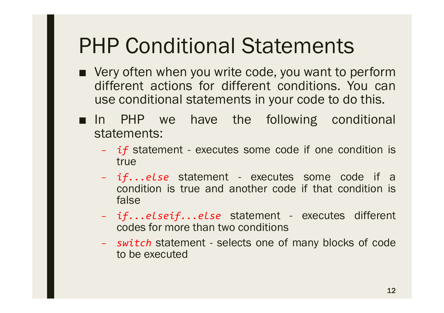- Very often when you write code, you want to perform different actions for different conditions. You can use conditional statements in your code to do this.
- In PHP we have the following conditional statements:
	- *if* statement executes some code if one condition is true
	- *if...else* statement executes some code if a condition is true and another code if that condition is false
	- *if...elseif...else* statement executes different codes for more than two conditions
	- *switch* statement selects one of many blocks of code to be executed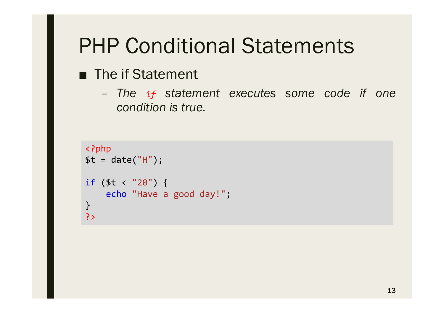#### ■ The if Statement

– *The if statement executes some code if one condition is true.*

```
<?php
$t = date("H");
if ($t < "20") {
    echo "Have a good day!";
}
?>
```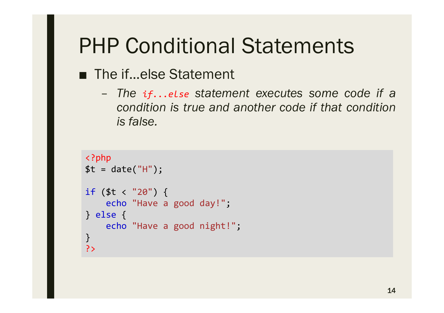- The if...else Statement
	- *The if...else statement executes some code if a condition is true and another code if that condition is false.*

```
<?php
$t = date("H");
if ($t < "20") {
    echo "Have a good day!";
} else {
    echo "Have a good night!";
}
?>
```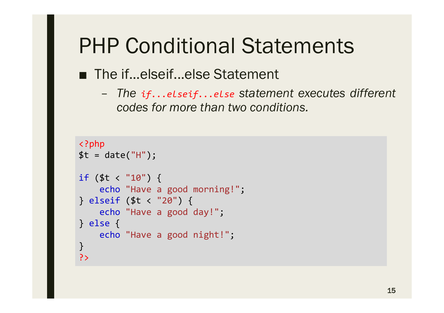#### ■ The if...elseif...else Statement

– *The if...elseif...else statement executes different codes for more than two conditions.*

```
<?php
$t = date("H");
if ($t < "10") {
    echo "Have a good morning!";
} elseif ($t < "20") {
    echo "Have a good day!";
} else {
    echo "Have a good night!";
}
?>
```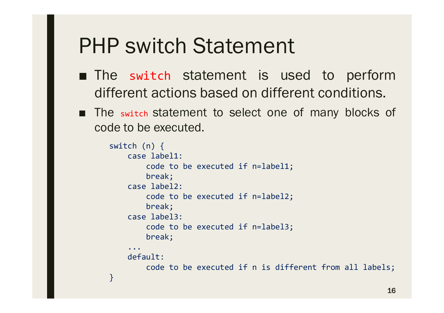### PHP switch Statement

- The switch statement is used to perform different actions based on different conditions.
- The switch statement to select one of many blocks of code to be executed.

```
switch (n) {
    case label1:
        code to be executed if n=label1;
        break;
    case label2:
        code to be executed if n=label2;
        break;
    case label3:
        code to be executed if n=label3;
        break;
    ...
    default:
        code to be executed if n is different from all labels;
}
```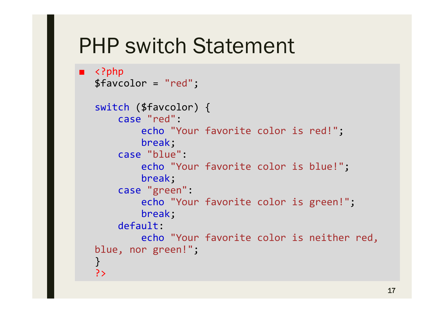### PHP switch Statement

```
■ <?php
  $favcolor = "red";
  switch ($favcolor) {
      case "red":
           echo "Your favorite color is red!";
           break;
      case "blue":
           echo "Your favorite color is blue!";
           break;
      case "green":
           echo "Your favorite color is green!";
           break;
      default:
           echo "Your favorite color is neither red, 
  blue, nor green!";
   }
   ?>
```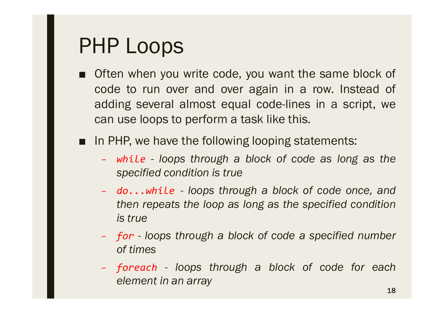- Often when you write code, you want the same block of code to run over and over again in a row. Instead of adding several almost equal code-lines in a script, we can use loops to perform a task like this.
- In PHP, we have the following looping statements:
	- *while - loops through a block of code as long as the specified condition is true*
	- *do...while - loops through a block of code once, and then repeats the loop as long as the specified condition is true*
	- *for - loops through a block of code a specified number of times*
	- *foreach - loops through a block of code for each element in an array*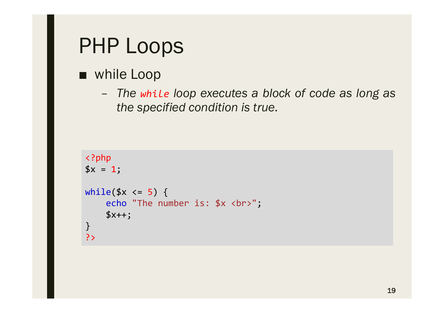#### ■ while Loop

– *The while loop executes a block of code as long as the specified condition is true.*

```
<?php
$x = 1;while(x \leq 5) {
    echo "The number is: $x <br>";
    $x++;}
?>
```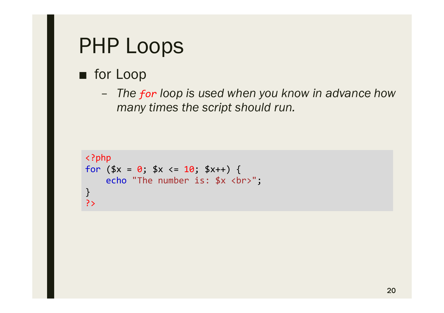#### ■ for Loop

– *The for loop is used when you know in advance how many times the script should run.*

```
<?php
for ($x = 0; $x \le 10; $x++) {
    echo "The number is: $x <br>";
}
?>
```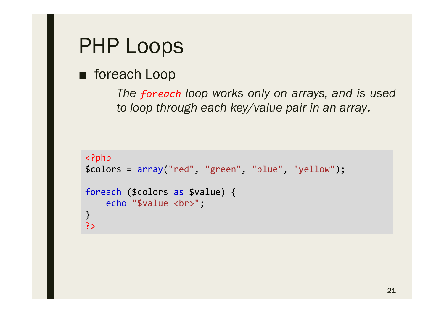#### ■ foreach Loop

– *The foreach loop works only on arrays, and is used to loop through each key/value pair in an array.*

```
<?php
$colors = array("red", "green", "blue", "yellow");
foreach ($colors as $value) {
    echo "$value <br>";
}
?>
```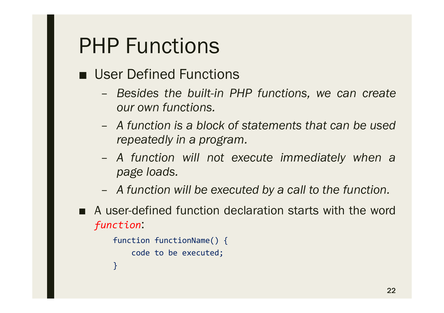- User Defined Functions
	- *Besides the built-in PHP functions, we can create our own functions.*
	- *A function is a block of statements that can be used repeatedly in a program.*
	- *A function will not execute immediately when a page loads.*
	- *A function will be executed by a call to the function.*
- A user-defined function declaration starts with the word *function*:

```
function functionName() {
    code to be executed;
}
```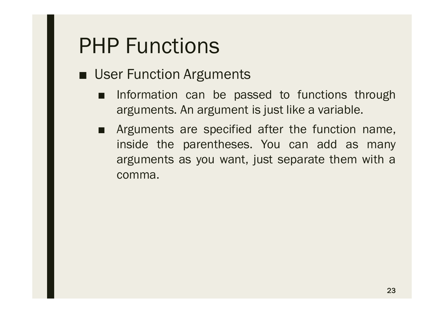- User Function Arguments
	- Information can be passed to functions through arguments. An argument is just like a variable.
	- Arguments are specified after the function name, inside the parentheses. You can add as many arguments as you want, just separate them with a comma.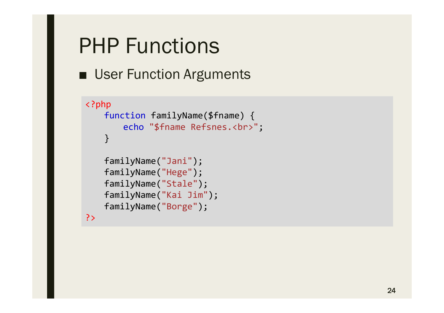■ User Function Arguments

```
<?php
   function familyName($fname) {
       echo "$fname Refsnes.<br>";
   }
   familyName("Jani");
   familyName("Hege");
   familyName("Stale");
   familyName("Kai Jim");
   familyName("Borge");
```
?>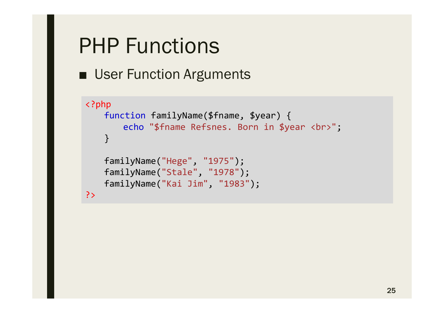```
■ User Function Arguments
```

```
<?php
   function familyName($fname, $year) {
       echo "$fname Refsnes. Born in $year <br>";
   }
   familyName("Hege", "1975");
   familyName("Stale", "1978");
   familyName("Kai Jim", "1983");
?>
```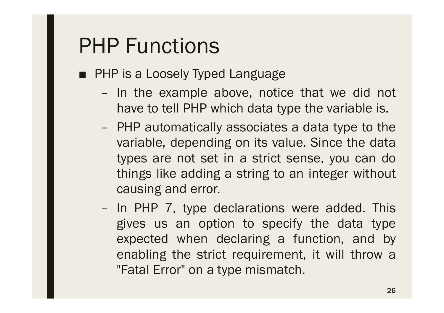- PHP is a Loosely Typed Language
	- In the example above, notice that we did not have to tell PHP which data type the variable is.
	- PHP automatically associates a data type to the variable, depending on its value. Since the data types are not set in a strict sense, you can do things like adding a string to an integer without causing and error.
	- In PHP 7, type declarations were added. This gives us an option to specify the data type expected when declaring a function, and by enabling the strict requirement, it will throw a "Fatal Error" on a type mismatch.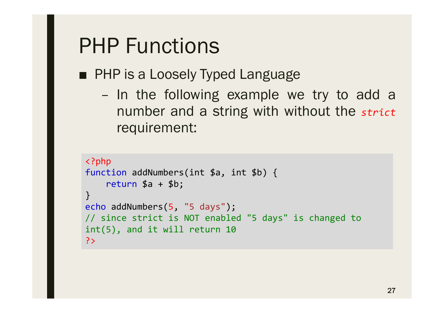■ PHP is a Loosely Typed Language

– In the following example we try to add a number and a string with without the *strict* requirement:

```
<?php
function addNumbers(int $a, int $b) {
    return $a + $b;
}
echo addNumbers(5, "5 days");
// since strict is NOT enabled "5 days" is changed to 
int(5), and it will return 10
?>
```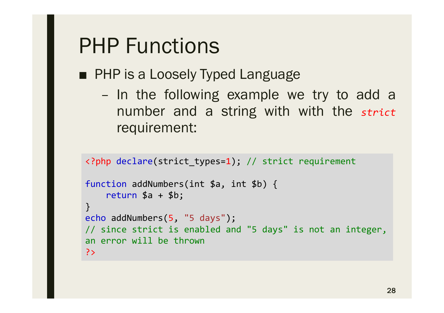■ PHP is a Loosely Typed Language

– In the following example we try to add a number and a string with with the *strict* requirement:

```
<?php declare(strict_types=1); // strict requirement
function addNumbers(int $a, int $b) {
    return $a + $b;
}
echo addNumbers(5, "5 days");
// since strict is enabled and "5 days" is not an integer, 
an error will be thrown
?>
```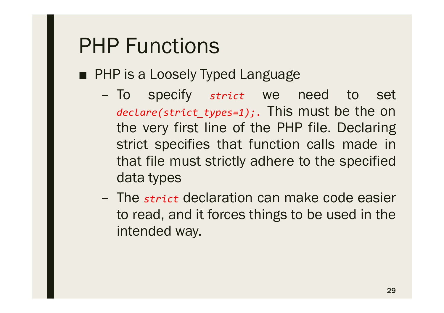- PHP is a Loosely Typed Language
	- To specify *strict* we need to set *declare(strict\_types=1);.* This must be the on the very first line of the PHP file. Declaring strict specifies that function calls made in that file must strictly adhere to the specified data types
	- The *strict* declaration can make code easier to read, and it forces things to be used in the intended way.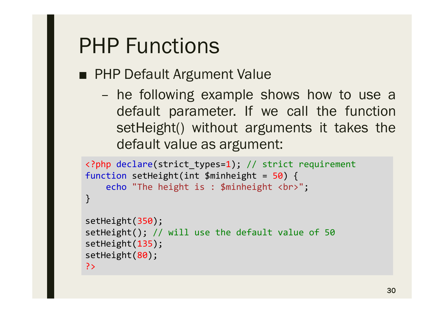■ PHP Default Argument Value

– he following example shows how to use a default parameter. If we call the function setHeight() without arguments it takes the default value as argument:

```
<?php declare(strict_types=1); // strict requirement
function setHeight(int $minheight = 50) {
    echo "The height is : $minheight <br>";
}
setHeight(350);
setHeight(); // will use the default value of 50
setHeight(135);
setHeight(80);
?>
```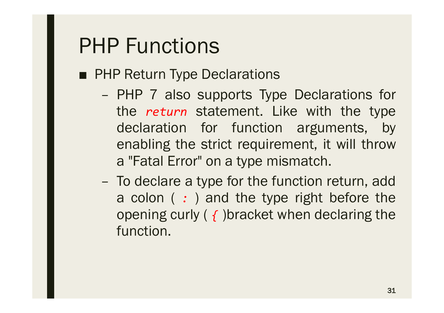- PHP Return Type Declarations
	- PHP 7 also supports Type Declarations for the *return* statement. Like with the type declaration for function arguments, by enabling the strict requirement, it will throw a "Fatal Error" on a type mismatch.
	- To declare a type for the function return, add a colon ( *:* ) and the type right before the opening curly ( *{* )bracket when declaring the function.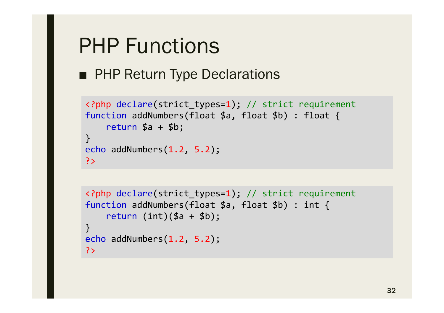■ PHP Return Type Declarations

```
<?php declare(strict_types=1); // strict requirement
function addNumbers(float $a, float $b) : float {
    return $a + $b;
}
echo addNumbers(1.2, 5.2);
?>
```

```
<?php declare(strict_types=1); // strict requirement
function addNumbers(float $a, float $b) : int {
    return (int)(<math>$a + $b)</math>;
}
echo addNumbers(1.2, 5.2);
?>
```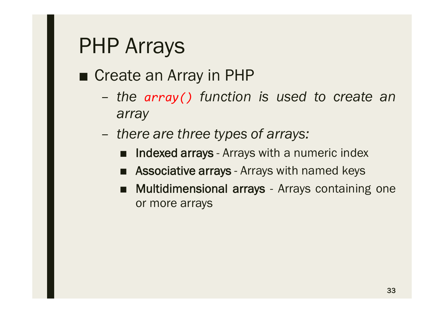### ■ Create an Array in PHP

- *the array() function is used to create an array*
- *there are three types of arrays:*
	- **Indexed arrays** Arrays with a numeric index
	- **Associative arrays** Arrays with named keys
	- **Multidimensional arrays** Arrays containing one or more arrays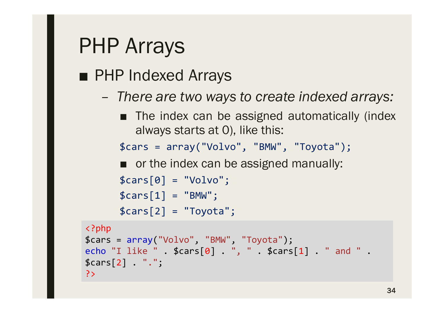### ■ PHP Indexed Arrays

- *There are two ways to create indexed arrays:*
	- The index can be assigned automatically (index always starts at 0), like this:

\$cars = array("Volvo", "BMW", "Toyota");

■ or the index can be assigned manually:

```
$cars[0] = "Volvo";
```

```
$cars[1] = "BMW";
```

```
$cars[2] = "Toyota";
```

```
<?php
$cars = array("Volvo", "BMW", "Toyota");
echo "I like " . $cars[0] . ", " . $cars[1] . " and " . 
$cars[2] . ".";
?>
```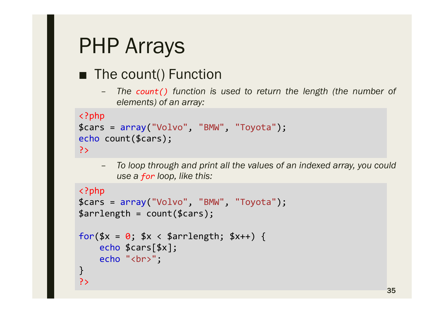#### ■ The count() Function

– *The count() function is used to return the length (the number of elements) of an array:*

```
<?php
$cars = array("Volvo", "BMW", "Toyota");
echo count($cars);
?>
```
– *To loop through and print all the values of an indexed array, you could use a for loop, like this:*

```
<?php
$cars = array("Volvo", "BMW", "Toyota");
$arrlength = count($cars);
for(x = 0; x \times 2 arrlength; x++) {
    echo $cars[$x];
    echo "<br>";
}
?>
```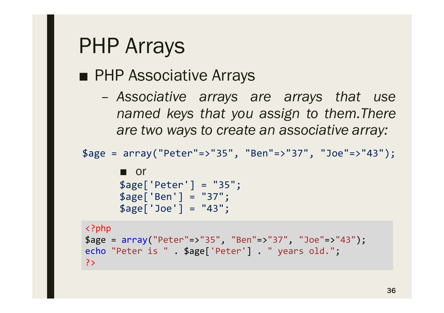### ■ PHP Associative Arrays

– *Associative arrays are arrays that use named keys that you assign to them.There are two ways to create an associative array:*

```
$age = array("Peter"=>"35", "Ben"=>"37", "Joe"=>"43");
```

```
■ or
$age['Peter'] = "35";
$age['Ben'] = "37";
$age['Joe'] = "43";
```

```
<?php
$age = array("Peter"=>"35", "Ben"=>"37", "Joe"=>"43");
echo "Peter is " . $age['Peter'] . " years old.";
?>
```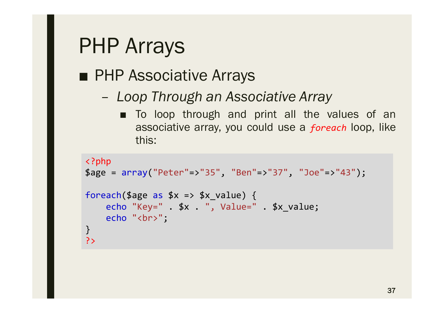### ■ PHP Associative Arrays

#### – *Loop Through an Associative Array*

■ To loop through and print all the values of an associative array, you could use a *foreach* loop, like this:

```
<?php
$age = array("Peter"=>"35", "Ben"=>"37", "Joe"=>"43");
foreach($age as 5x \Rightarrow 5x \text{ value}) {
    echo "Key=" . $x . ", Value=" . $x_value;
    echo "<br>";
}
?>
```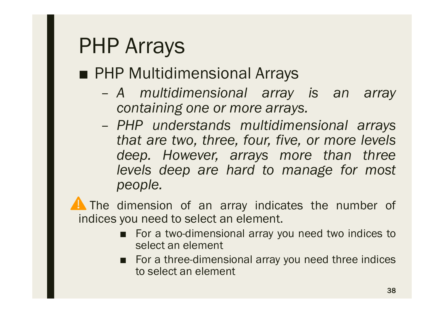### ■ PHP Multidimensional Arrays

- *A multidimensional array is an array containing one or more arrays.*
- *PHP understands multidimensional arrays that are two, three, four, five, or more levels deep. However, arrays more than three levels deep are hard to manage for most people.*

**A** The dimension of an array indicates the number of indices you need to select an element.

- For a two-dimensional array you need two indices to select an element
- For a three-dimensional array you need three indices to select an element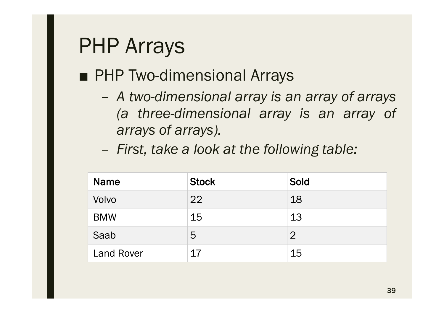### ■ PHP Two-dimensional Arrays

- *A two-dimensional array is an array of arrays (a three-dimensional array is an array of arrays of arrays).*
- *First, take a look at the following table:*

| <b>Name</b>       | <b>Stock</b> | Sold           |
|-------------------|--------------|----------------|
| Volvo             | 22           | 18             |
| <b>BMW</b>        | 15           | 13             |
| Saab              | 5            | $\overline{2}$ |
| <b>Land Rover</b> | 17           | 15             |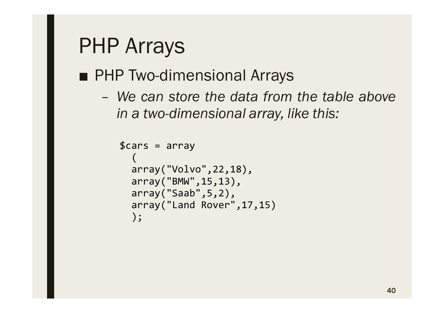### ■ PHP Two-dimensional Arrays

– *We can store the data from the table above in a two-dimensional array, like this:*

```
$cars = array(
  array("Volvo",22,18),
  array("BMW",15,13),
  array("Saab",5,2),
  array("Land Rover",17,15)
  );
```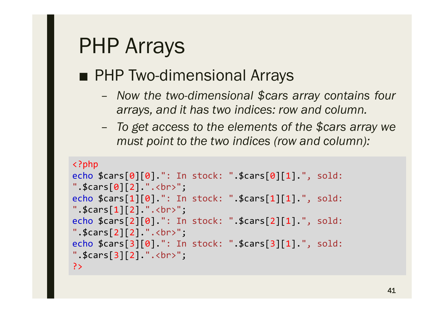### ■ PHP Two-dimensional Arrays

- *Now the two-dimensional \$cars array contains four arrays, and it has two indices: row and column.*
- *To get access to the elements of the \$cars array we must point to the two indices (row and column):*

```
<?php
echo $cars[0][0].": In stock: ".$cars[0][1].", sold: 
"\cdot$cars[0][2].".<br>";
echo $cars[1][0].": In stock: ".$cars[1][1].", sold: 
".*cars[1][2].".*br>";
echo $cars[2][0].": In stock: ".$cars[2][1].", sold: 
".$cars[2][2].".<br>";
echo $cars[3][0].": In stock: ".$cars[3][1].", sold: 
".$cars[3][2].".<br>";
?>
```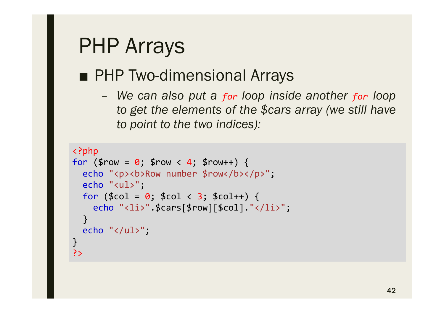### ■ PHP Two-dimensional Arrays

– *We can also put a for loop inside another for loop to get the elements of the \$cars array (we still have to point to the two indices):*

```
<?php
for (\frac{1}{2}row = 0; \frac{1}{2}row < 4; \frac{1}{2}row++) {
  echo "<p><br/>>b>Row number $row</b></p>";
  echo "<ul>";
  for (\$col = 0; %col < 3; %coll +) {
    echo "<li>".$cars[$row][$col]."</li>";
  }
  echo "</ul>";
}
?>
```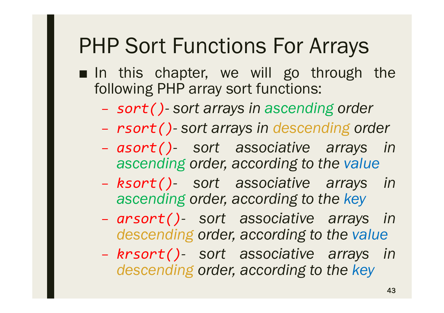- In this chapter, we will go through the following PHP array sort functions:
	- *sort()- sort arrays in ascending order*
	- *rsort()- sort arrays in descending order*
	- *asort()- sort associative arrays in ascending order, according to the value*
	- *ksort()- sort associative arrays in ascending order, according to the key*
	- *arsort()- sort associative arrays in descending order, according to the value*
	- *krsort()- sort associative arrays in descending order, according to the key*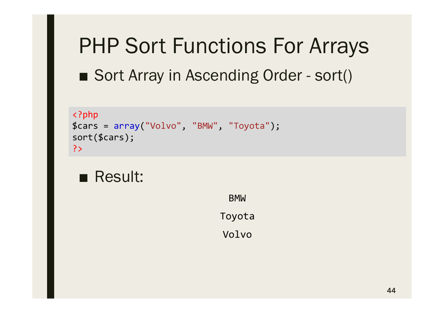# PHP Sort Functions For Arrays ■ Sort Array in Ascending Order - sort()

```
<?php
$cars = array("Volvo", "BMW", "Toyota");
sort($cars);
?>
```
### ■ Result:

BMW Toyota

Volvo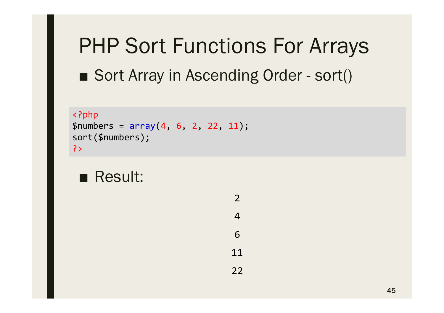# PHP Sort Functions For Arrays ■ Sort Array in Ascending Order - sort()

```
<?php
$numbers = array(4, 6, 2, 22, 11);sort($numbers);
?>
```
### ■ Result:

2 4 6 11 22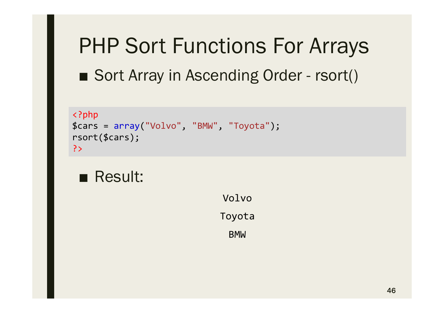# PHP Sort Functions For Arrays ■ Sort Array in Ascending Order - rsort()

```
<?php
$cars = array("Volvo", "BMW", "Toyota");
rsort($cars);
?>
```
### ■ Result:

Volvo Toyota BMW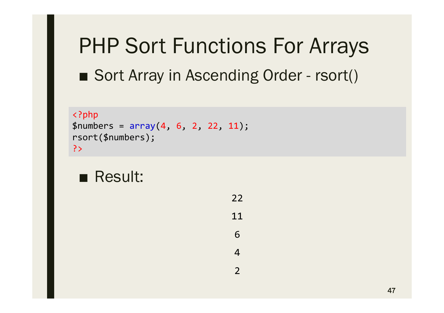# PHP Sort Functions For Arrays ■ Sort Array in Ascending Order - rsort()

```
<?php
$numbers = array(4, 6, 2, 22, 11);rsort($numbers);
?>
```

```
■ Result:
```
22 11 6

4

 $\overline{\mathbf{2}}$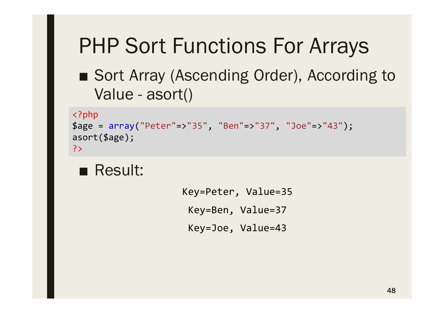### ■ Sort Array (Ascending Order), According to Value - asort()

```
<?php
$age = array("Peter"=>"35", "Ben"=>"37", "Joe"=>"43");
asort($age);
?>
```
#### ■ Result:

Key=Peter, Value=35 Key=Ben, Value=37 Key=Joe, Value=43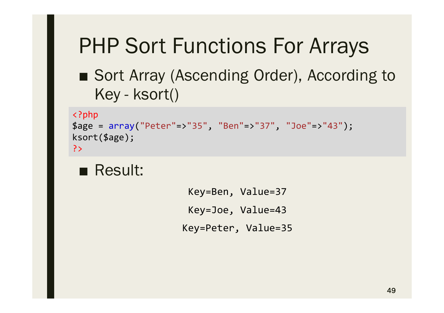### ■ Sort Array (Ascending Order), According to Key - ksort()

```
<?php
$age = array("Peter"=>"35", "Ben"=>"37", "Joe"=>"43");
ksort($age);
?>
```
#### ■ Result:

Key=Ben, Value=37 Key=Joe, Value=43 Key=Peter, Value=35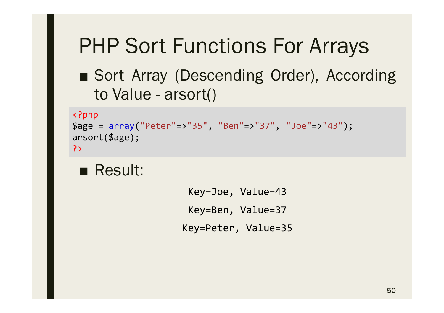### ■ Sort Array (Descending Order), According to Value - arsort()

```
<?php
$age = array("Peter"=>"35", "Ben"=>"37", "Joe"=>"43");
arsort($age);
?>
```
#### ■ Result:

Key=Joe, Value=43 Key=Ben, Value=37 Key=Peter, Value=35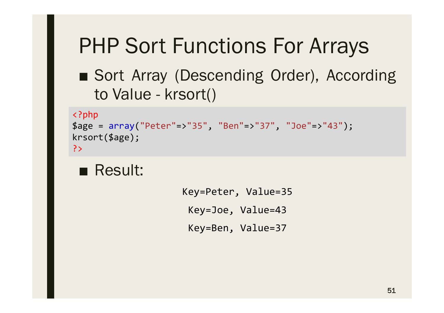### ■ Sort Array (Descending Order), According to Value - krsort()

```
<?php
$age = array("Peter"=>"35", "Ben"=>"37", "Joe"=>"43");
krsort($age);
?>
```
#### ■ Result:

Key=Peter, Value=35 Key=Joe, Value=43 Key=Ben, Value=37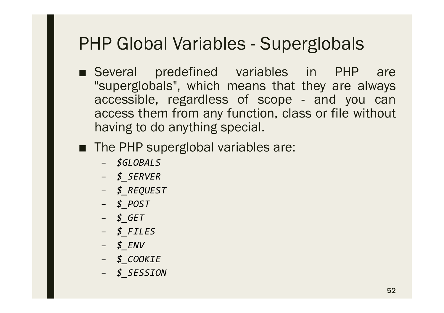- Several predefined variables in PHP are "superglobals", which means that they are always accessible, regardless of scope - and you can access them from any function, class or file without having to do anything special.
- The PHP superglobal variables are:
	- *\$GLOBALS*
	- *\$\_SERVER*
	- *\$\_REQUEST*
	- *\$\_POST*
	- *\$\_GET*
	- *\$\_FILES*
	- *\$\_ENV*
	- *\$\_COOKIE*
	- *\$\_SESSION*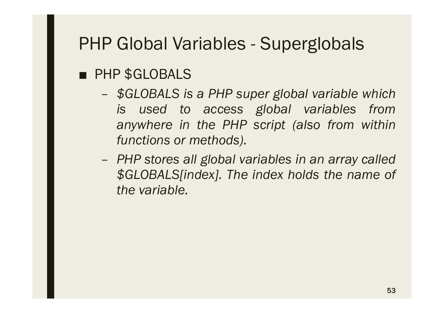#### ■ PHP \$GLOBALS

- *\$GLOBALS is a PHP super global variable which is used to access global variables from anywhere in the PHP script (also from within functions or methods).*
- *PHP stores all global variables in an array called \$GLOBALS[index]. The index holds the name of the variable.*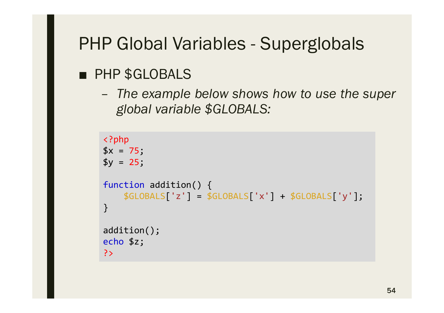#### ■ PHP \$GLOBALS

– *The example below shows how to use the super global variable \$GLOBALS:*

```
<?php
$x = 75;$y = 25;function addition() {
    $GLOBALS['z'] = $GLOBALS['x'] + $GLOBALS['y'];
}
addition();
echo $z;
?>
```